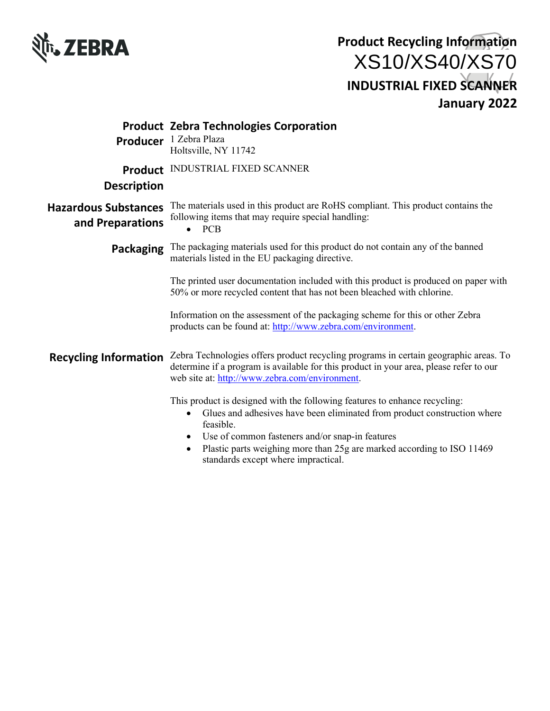

|                                                 | <b>Product Zebra Technologies Corporation</b><br>Producer 1 Zebra Plaza<br>Holtsville, NY 11742                                                                                                                                                                                                                                                                        |
|-------------------------------------------------|------------------------------------------------------------------------------------------------------------------------------------------------------------------------------------------------------------------------------------------------------------------------------------------------------------------------------------------------------------------------|
| <b>Description</b>                              | <b>Product INDUSTRIAL FIXED SCANNER</b>                                                                                                                                                                                                                                                                                                                                |
| <b>Hazardous Substances</b><br>and Preparations | The materials used in this product are RoHS compliant. This product contains the<br>following items that may require special handling:<br>PCB                                                                                                                                                                                                                          |
| Packaging                                       | The packaging materials used for this product do not contain any of the banned<br>materials listed in the EU packaging directive.                                                                                                                                                                                                                                      |
|                                                 | The printed user documentation included with this product is produced on paper with<br>50% or more recycled content that has not been bleached with chlorine.                                                                                                                                                                                                          |
|                                                 | Information on the assessment of the packaging scheme for this or other Zebra<br>products can be found at: http://www.zebra.com/environment.                                                                                                                                                                                                                           |
| <b>Recycling Information</b>                    | Zebra Technologies offers product recycling programs in certain geographic areas. To<br>determine if a program is available for this product in your area, please refer to our<br>web site at: http://www.zebra.com/environment.                                                                                                                                       |
|                                                 | This product is designed with the following features to enhance recycling:<br>Glues and adhesives have been eliminated from product construction where<br>$\bullet$<br>feasible.<br>Use of common fasteners and/or snap-in features<br>٠<br>Plastic parts weighing more than 25g are marked according to ISO 11469<br>$\bullet$<br>standards except where impractical. |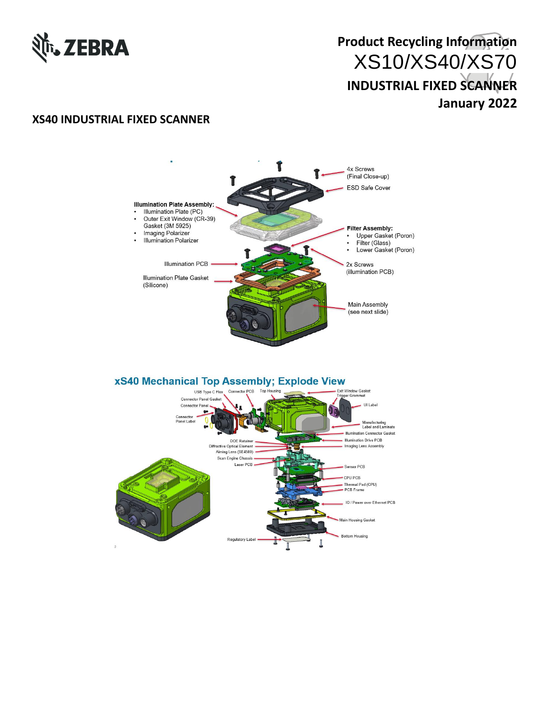

#### **XS40 INDUSTRIAL FIXED SCANNER**



#### **xS40 Mechanical Top Assembly; Explode View**

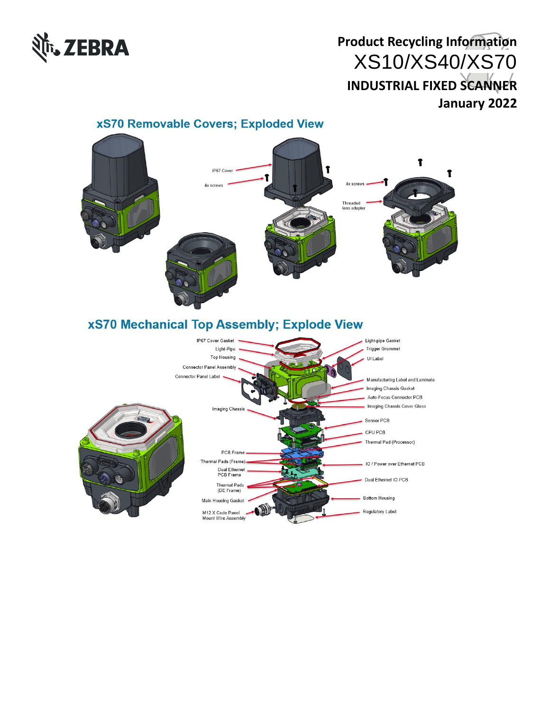

#### î IP67 Cove î 4x screws 4x screws Threaded<br>lens adapter **xS70 Mechanical Top Assembly; Explode View** IP67 Cover Gasket Light-pipe Gasket **Trigger Grommet** Light-Pipe **Top Housing** UI Label **Connector Panel Assembly Connector Panel Label** Manufacturing Label and Laminate Imaging Chassis Gasket Auto-Focus Connector PCB Imaging Chassis Cover Glass Imaging Chassis Sensor PCB CPU PCB Thermal Pad (Processor) PCB Frame Thermal Pads (Frame). IO / Power over Ethernet PCB Dual Ethernet<br>PCB Frame Dual Ethernet IO PCB Thermal Pads<br>(DE Frame) **Bottom Housing** Main Housing Gasket M12 X Code Panel Regulatory Label

Mount Wire Assembly

#### **xS70 Removable Covers; Exploded View**